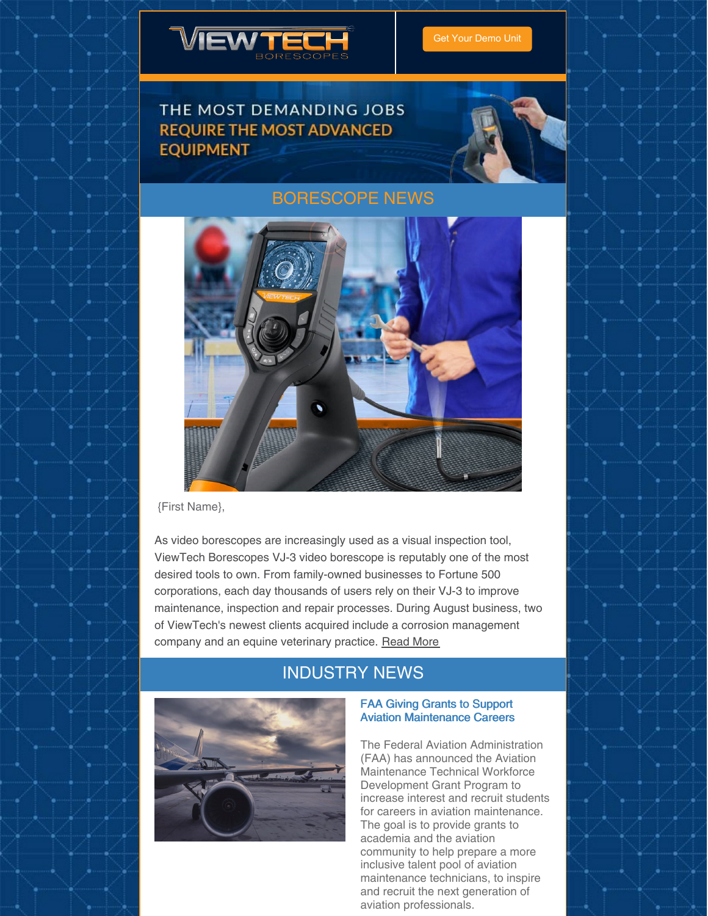

## THE MOST DEMANDING JOBS **REQUIRE THE MOST ADVANCED EQUIPMENT**



## [BORESCOPE](https://www.viewtech.com/news/?utm_source=newsletter&utm_medium=email&utm_campaign=newsletter0920) NEWS



{First Name},

As video borescopes are increasingly used as a visual inspection tool, ViewTech Borescopes VJ-3 video borescope is reputably one of the most desired tools to own. From family-owned businesses to Fortune 500 corporations, each day thousands of users rely on their VJ-3 to improve maintenance, inspection and repair processes. During August business, two of ViewTech's newest clients acquired include a corrosion management company and an equine veterinary practice. [Read](https://www.viewtech.com/inspection-tool-demand-increases-sales-of-viewtech-borescopes-vj-3-mechanical-articulating-video-borescope/?utm_source=newsletter&utm_medium=email&utm_campaign=newsletter0920) More

## INDUSTRY NEWS



### FAA Giving Grants to Support Aviation Maintenance Careers

The Federal Aviation Administration (FAA) has announced the Aviation Maintenance Technical Workforce Development Grant Program to increase interest and recruit students for careers in aviation maintenance. The goal is to provide grants to academia and the aviation community to help prepare a more inclusive talent pool of aviation maintenance technicians, to inspire and recruit the next generation of aviation professionals.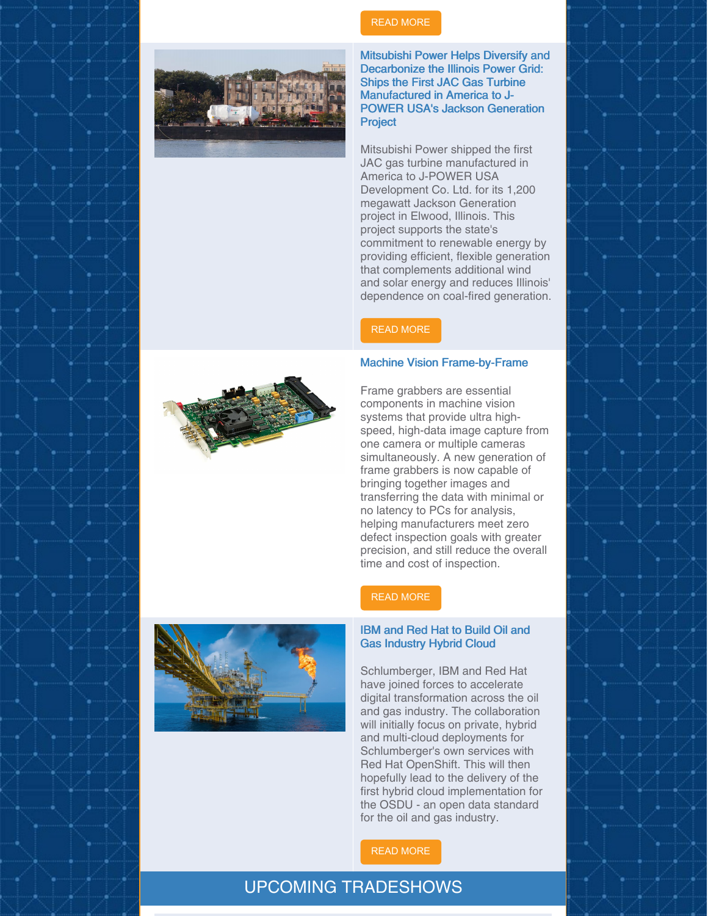

## READ [MORE](https://www.avm-mag.com/faa-giving-grants-to-support-aviation-maintenance-careers/)

Mitsubishi Power Helps Diversify and Decarbonize the Illinois Power Grid: Ships the First JAC Gas Turbine Manufactured in America to J-POWER USA's Jackson Generation **Project** 

Mitsubishi Power shipped the first JAC gas turbine manufactured in America to J-POWER USA Development Co. Ltd. for its 1,200 megawatt Jackson Generation project in Elwood, Illinois. This project supports the state's commitment to renewable energy by providing efficient, flexible generation that complements additional wind and solar energy and reduces Illinois' dependence on coal-fired generation.

### READ [MORE](https://www.valdostadailytimes.com/news/business/mitsubishi-power-helps-diversify-and-decarbonize-the-illinois-power-grid-ships-the-first-jac-gas/article_3e99f215-e74f-5f37-bbe2-cb93156d59c0.html)

#### Machine Vision Frame-by-Frame

Frame grabbers are essential components in machine vision systems that provide ultra highspeed, high-data image capture from one camera or multiple cameras simultaneously. A new generation of frame grabbers is now capable of bringing together images and transferring the data with minimal or no latency to PCs for analysis, helping manufacturers meet zero defect inspection goals with greater precision, and still reduce the overall time and cost of inspection.

### READ [MORE](https://www.qualitymag.com/articles/96137-machine-vision-frame-by-frame?oly_enc_id=7121J1698590F4R)

### IBM and Red Hat to Build Oil and Gas Industry Hybrid Cloud

Schlumberger, IBM and Red Hat have joined forces to accelerate digital transformation across the oil and gas industry. The collaboration will initially focus on private, hybrid and multi-cloud deployments for Schlumberger's own services with Red Hat OpenShift. This will then hopefully lead to the delivery of the first hybrid cloud implementation for the OSDU - an open data standard for the oil and gas industry.

READ [MORE](https://www.itpro.co.uk/cloud/hybrid-cloud/357037/ibm-and-red-hat-to-build-oil-and-gas-industry-hybrid-cloud)

## UPCOMING TRADESHOWS